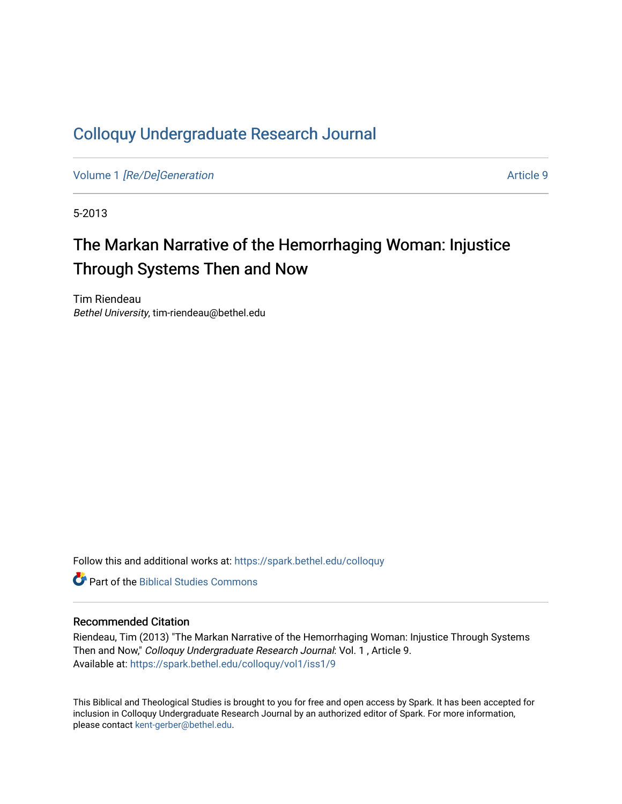## [Colloquy Undergraduate Research Journal](https://spark.bethel.edu/colloquy)

Volume 1 [\[Re/De\]Generation](https://spark.bethel.edu/colloquy/vol1) Article 9

5-2013

# The Markan Narrative of the Hemorrhaging Woman: Injustice Through Systems Then and Now

Tim Riendeau Bethel University, tim-riendeau@bethel.edu

Follow this and additional works at: [https://spark.bethel.edu/colloquy](https://spark.bethel.edu/colloquy?utm_source=spark.bethel.edu%2Fcolloquy%2Fvol1%2Fiss1%2F9&utm_medium=PDF&utm_campaign=PDFCoverPages) 

**C** Part of the Biblical Studies Commons

#### Recommended Citation

Riendeau, Tim (2013) "The Markan Narrative of the Hemorrhaging Woman: Injustice Through Systems Then and Now," Colloquy Undergraduate Research Journal: Vol. 1 , Article 9. Available at: [https://spark.bethel.edu/colloquy/vol1/iss1/9](https://spark.bethel.edu/colloquy/vol1/iss1/9?utm_source=spark.bethel.edu%2Fcolloquy%2Fvol1%2Fiss1%2F9&utm_medium=PDF&utm_campaign=PDFCoverPages) 

This Biblical and Theological Studies is brought to you for free and open access by Spark. It has been accepted for inclusion in Colloquy Undergraduate Research Journal by an authorized editor of Spark. For more information, please contact [kent-gerber@bethel.edu](mailto:kent-gerber@bethel.edu).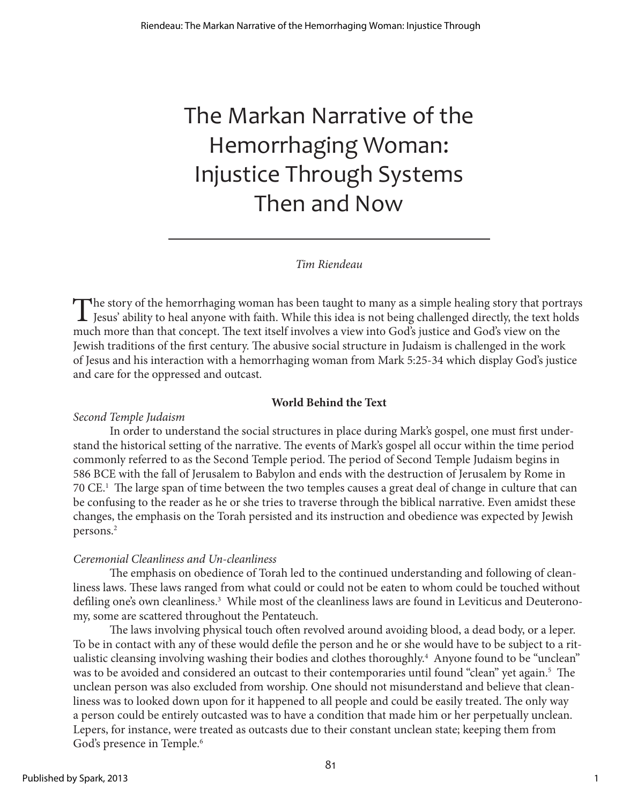# The Markan Narrative of the Hemorrhaging Woman: Injustice Through Systems Then and Now

## *Tim Riendeau*

The story of the hemorrhaging woman has been taught to many as a simple healing story that portrays Jesus' ability to heal anyone with faith. While this idea is not being challenged directly, the text holds and house that much more than that concept. The text itself involves a view into God's justice and God's view on the Jewish traditions of the first century. The abusive social structure in Judaism is challenged in the work of Jesus and his interaction with a hemorrhaging woman from Mark 5:25-34 which display God's justice and care for the oppressed and outcast.

## **World Behind the Text**

## *Second Temple Judaism*

In order to understand the social structures in place during Mark's gospel, one must first understand the historical setting of the narrative. The events of Mark's gospel all occur within the time period commonly referred to as the Second Temple period. The period of Second Temple Judaism begins in 586 BCE with the fall of Jerusalem to Babylon and ends with the destruction of Jerusalem by Rome in 70 CE.1 The large span of time between the two temples causes a great deal of change in culture that can be confusing to the reader as he or she tries to traverse through the biblical narrative. Even amidst these changes, the emphasis on the Torah persisted and its instruction and obedience was expected by Jewish persons.2

## *Ceremonial Cleanliness and Un-cleanliness*

The emphasis on obedience of Torah led to the continued understanding and following of cleanliness laws. These laws ranged from what could or could not be eaten to whom could be touched without defiling one's own cleanliness.<sup>3</sup> While most of the cleanliness laws are found in Leviticus and Deuteronomy, some are scattered throughout the Pentateuch.

The laws involving physical touch often revolved around avoiding blood, a dead body, or a leper. To be in contact with any of these would defile the person and he or she would have to be subject to a ritualistic cleansing involving washing their bodies and clothes thoroughly.<sup>4</sup> Anyone found to be "unclean" was to be avoided and considered an outcast to their contemporaries until found "clean" yet again.5 The unclean person was also excluded from worship. One should not misunderstand and believe that cleanliness was to looked down upon for it happened to all people and could be easily treated. The only way a person could be entirely outcasted was to have a condition that made him or her perpetually unclean. Lepers, for instance, were treated as outcasts due to their constant unclean state; keeping them from God's presence in Temple.<sup>6</sup>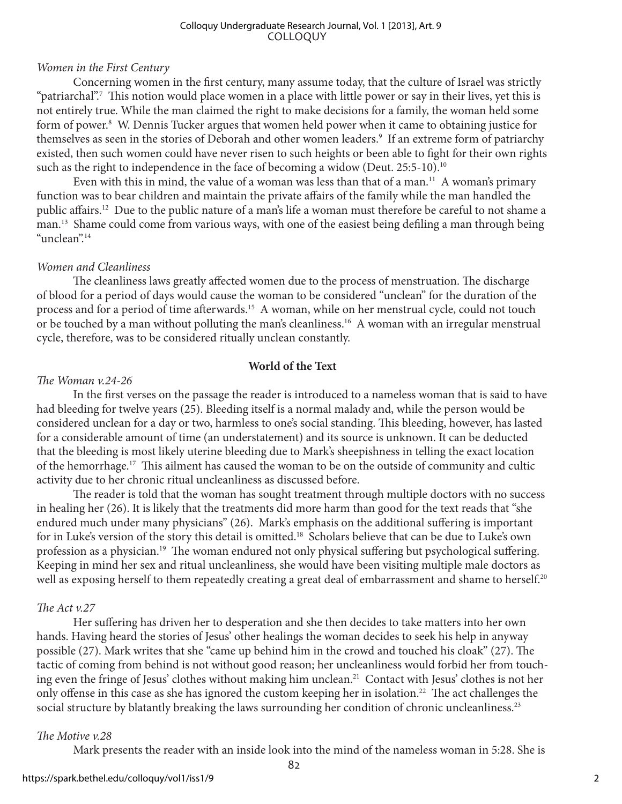#### COLLOQUY Colloquy Undergraduate Research Journal, Vol. 1 [2013], Art. 9

### *Women in the First Century*

Concerning women in the first century, many assume today, that the culture of Israel was strictly "patriarchal".7 This notion would place women in a place with little power or say in their lives, yet this is not entirely true. While the man claimed the right to make decisions for a family, the woman held some form of power.<sup>8</sup> W. Dennis Tucker argues that women held power when it came to obtaining justice for themselves as seen in the stories of Deborah and other women leaders.<sup>9</sup> If an extreme form of patriarchy existed, then such women could have never risen to such heights or been able to fight for their own rights such as the right to independence in the face of becoming a widow (Deut.  $25:5-10$ ).<sup>10</sup>

Even with this in mind, the value of a woman was less than that of a man.<sup>11</sup> A woman's primary function was to bear children and maintain the private affairs of the family while the man handled the public affairs.12 Due to the public nature of a man's life a woman must therefore be careful to not shame a man.13 Shame could come from various ways, with one of the easiest being defiling a man through being "unclean".14

#### *Women and Cleanliness*

The cleanliness laws greatly affected women due to the process of menstruation. The discharge of blood for a period of days would cause the woman to be considered "unclean" for the duration of the process and for a period of time afterwards.<sup>15</sup> A woman, while on her menstrual cycle, could not touch or be touched by a man without polluting the man's cleanliness.<sup>16</sup> A woman with an irregular menstrual cycle, therefore, was to be considered ritually unclean constantly.

### **World of the Text**

#### *The Woman v.24-26*

In the first verses on the passage the reader is introduced to a nameless woman that is said to have had bleeding for twelve years (25). Bleeding itself is a normal malady and, while the person would be considered unclean for a day or two, harmless to one's social standing. This bleeding, however, has lasted for a considerable amount of time (an understatement) and its source is unknown. It can be deducted that the bleeding is most likely uterine bleeding due to Mark's sheepishness in telling the exact location of the hemorrhage.17 This ailment has caused the woman to be on the outside of community and cultic activity due to her chronic ritual uncleanliness as discussed before.

The reader is told that the woman has sought treatment through multiple doctors with no success in healing her (26). It is likely that the treatments did more harm than good for the text reads that "she endured much under many physicians" (26). Mark's emphasis on the additional suffering is important for in Luke's version of the story this detail is omitted.<sup>18</sup> Scholars believe that can be due to Luke's own profession as a physician.<sup>19</sup> The woman endured not only physical suffering but psychological suffering. Keeping in mind her sex and ritual uncleanliness, she would have been visiting multiple male doctors as well as exposing herself to them repeatedly creating a great deal of embarrassment and shame to herself.<sup>20</sup>

#### *The Act v.27*

Her suffering has driven her to desperation and she then decides to take matters into her own hands. Having heard the stories of Jesus' other healings the woman decides to seek his help in anyway possible (27). Mark writes that she "came up behind him in the crowd and touched his cloak" (27). The tactic of coming from behind is not without good reason; her uncleanliness would forbid her from touching even the fringe of Jesus' clothes without making him unclean.<sup>21</sup> Contact with Jesus' clothes is not her only offense in this case as she has ignored the custom keeping her in isolation.<sup>22</sup> The act challenges the social structure by blatantly breaking the laws surrounding her condition of chronic uncleanliness.<sup>23</sup>

#### *The Motive v.28*

Mark presents the reader with an inside look into the mind of the nameless woman in 5:28. She is

82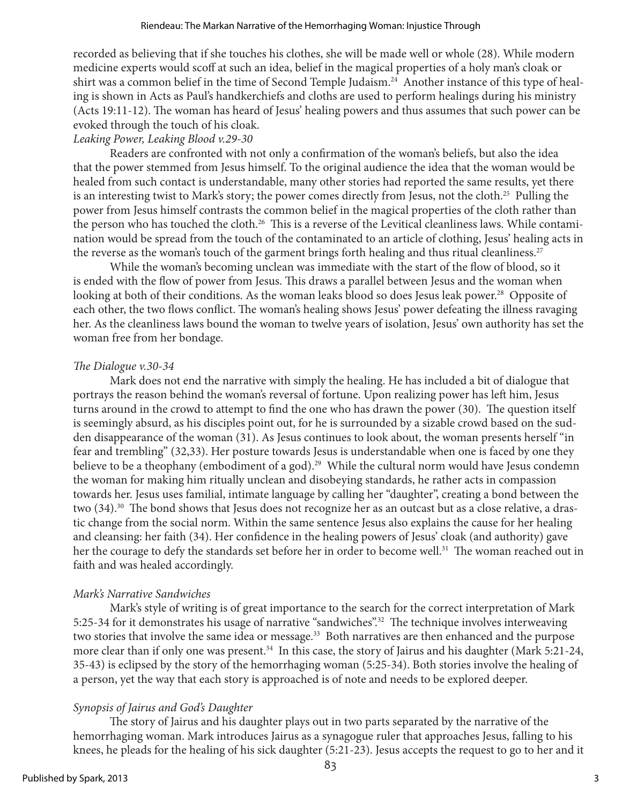recorded as believing that if she touches his clothes, she will be made well or whole (28). While modern medicine experts would scoff at such an idea, belief in the magical properties of a holy man's cloak or shirt was a common belief in the time of Second Temple Judaism.<sup>24</sup> Another instance of this type of healing is shown in Acts as Paul's handkerchiefs and cloths are used to perform healings during his ministry (Acts 19:11-12). The woman has heard of Jesus' healing powers and thus assumes that such power can be evoked through the touch of his cloak.

## *Leaking Power, Leaking Blood v.29-30*

Readers are confronted with not only a confirmation of the woman's beliefs, but also the idea that the power stemmed from Jesus himself. To the original audience the idea that the woman would be healed from such contact is understandable, many other stories had reported the same results, yet there is an interesting twist to Mark's story; the power comes directly from Jesus, not the cloth.25 Pulling the power from Jesus himself contrasts the common belief in the magical properties of the cloth rather than the person who has touched the cloth.<sup>26</sup> This is a reverse of the Levitical cleanliness laws. While contamination would be spread from the touch of the contaminated to an article of clothing, Jesus' healing acts in the reverse as the woman's touch of the garment brings forth healing and thus ritual cleanliness.<sup>27</sup>

While the woman's becoming unclean was immediate with the start of the flow of blood, so it is ended with the flow of power from Jesus. This draws a parallel between Jesus and the woman when looking at both of their conditions. As the woman leaks blood so does Jesus leak power.<sup>28</sup> Opposite of each other, the two flows conflict. The woman's healing shows Jesus' power defeating the illness ravaging her. As the cleanliness laws bound the woman to twelve years of isolation, Jesus' own authority has set the woman free from her bondage.

## *The Dialogue v.30-34*

Mark does not end the narrative with simply the healing. He has included a bit of dialogue that portrays the reason behind the woman's reversal of fortune. Upon realizing power has left him, Jesus turns around in the crowd to attempt to find the one who has drawn the power (30). The question itself is seemingly absurd, as his disciples point out, for he is surrounded by a sizable crowd based on the sudden disappearance of the woman (31). As Jesus continues to look about, the woman presents herself "in fear and trembling" (32,33). Her posture towards Jesus is understandable when one is faced by one they believe to be a theophany (embodiment of a god).<sup>29</sup> While the cultural norm would have Jesus condemn the woman for making him ritually unclean and disobeying standards, he rather acts in compassion towards her. Jesus uses familial, intimate language by calling her "daughter", creating a bond between the two (34).<sup>30</sup> The bond shows that Jesus does not recognize her as an outcast but as a close relative, a drastic change from the social norm. Within the same sentence Jesus also explains the cause for her healing and cleansing: her faith (34). Her confidence in the healing powers of Jesus' cloak (and authority) gave her the courage to defy the standards set before her in order to become well.<sup>31</sup> The woman reached out in faith and was healed accordingly.

## *Mark's Narrative Sandwiches*

Mark's style of writing is of great importance to the search for the correct interpretation of Mark 5:25-34 for it demonstrates his usage of narrative "sandwiches".32 The technique involves interweaving two stories that involve the same idea or message.<sup>33</sup> Both narratives are then enhanced and the purpose more clear than if only one was present.<sup>34</sup> In this case, the story of Jairus and his daughter (Mark 5:21-24, 35-43) is eclipsed by the story of the hemorrhaging woman (5:25-34). Both stories involve the healing of a person, yet the way that each story is approached is of note and needs to be explored deeper.

## *Synopsis of Jairus and God's Daughter*

The story of Jairus and his daughter plays out in two parts separated by the narrative of the hemorrhaging woman. Mark introduces Jairus as a synagogue ruler that approaches Jesus, falling to his knees, he pleads for the healing of his sick daughter (5:21-23). Jesus accepts the request to go to her and it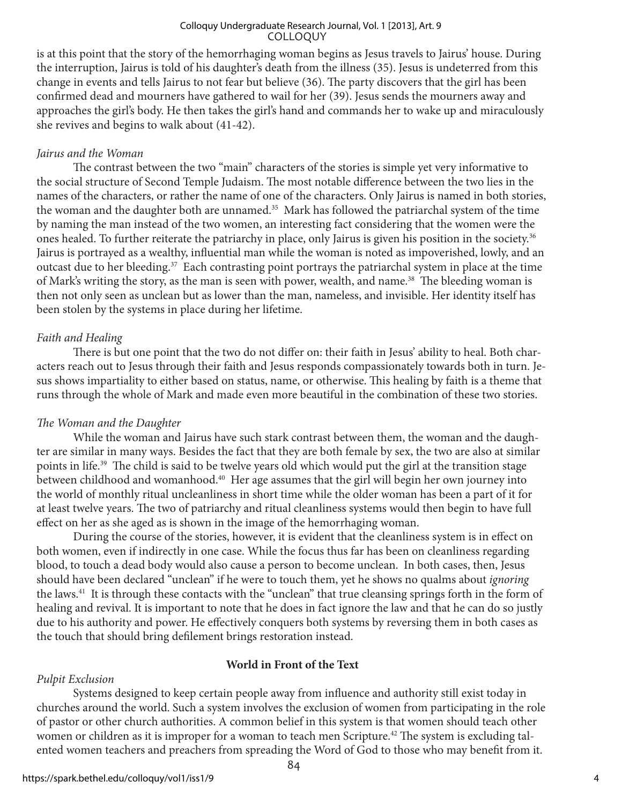#### COLLOQUY Colloquy Undergraduate Research Journal, Vol. 1 [2013], Art. 9

is at this point that the story of the hemorrhaging woman begins as Jesus travels to Jairus' house. During the interruption, Jairus is told of his daughter's death from the illness (35). Jesus is undeterred from this change in events and tells Jairus to not fear but believe (36). The party discovers that the girl has been confirmed dead and mourners have gathered to wail for her (39). Jesus sends the mourners away and approaches the girl's body. He then takes the girl's hand and commands her to wake up and miraculously she revives and begins to walk about (41-42).

## *Jairus and the Woman*

The contrast between the two "main" characters of the stories is simple yet very informative to the social structure of Second Temple Judaism. The most notable difference between the two lies in the names of the characters, or rather the name of one of the characters. Only Jairus is named in both stories, the woman and the daughter both are unnamed.<sup>35</sup> Mark has followed the patriarchal system of the time by naming the man instead of the two women, an interesting fact considering that the women were the ones healed. To further reiterate the patriarchy in place, only Jairus is given his position in the society.<sup>36</sup> Jairus is portrayed as a wealthy, influential man while the woman is noted as impoverished, lowly, and an outcast due to her bleeding.<sup>37</sup> Each contrasting point portrays the patriarchal system in place at the time of Mark's writing the story, as the man is seen with power, wealth, and name.<sup>38</sup> The bleeding woman is then not only seen as unclean but as lower than the man, nameless, and invisible. Her identity itself has been stolen by the systems in place during her lifetime.

## *Faith and Healing*

There is but one point that the two do not differ on: their faith in Jesus' ability to heal. Both characters reach out to Jesus through their faith and Jesus responds compassionately towards both in turn. Jesus shows impartiality to either based on status, name, or otherwise. This healing by faith is a theme that runs through the whole of Mark and made even more beautiful in the combination of these two stories.

## *The Woman and the Daughter*

While the woman and Jairus have such stark contrast between them, the woman and the daughter are similar in many ways. Besides the fact that they are both female by sex, the two are also at similar points in life.39 The child is said to be twelve years old which would put the girl at the transition stage between childhood and womanhood.40 Her age assumes that the girl will begin her own journey into the world of monthly ritual uncleanliness in short time while the older woman has been a part of it for at least twelve years. The two of patriarchy and ritual cleanliness systems would then begin to have full effect on her as she aged as is shown in the image of the hemorrhaging woman.

During the course of the stories, however, it is evident that the cleanliness system is in effect on both women, even if indirectly in one case. While the focus thus far has been on cleanliness regarding blood, to touch a dead body would also cause a person to become unclean. In both cases, then, Jesus should have been declared "unclean" if he were to touch them, yet he shows no qualms about *ignoring* the laws.41 It is through these contacts with the "unclean" that true cleansing springs forth in the form of healing and revival. It is important to note that he does in fact ignore the law and that he can do so justly due to his authority and power. He effectively conquers both systems by reversing them in both cases as the touch that should bring defilement brings restoration instead.

## **World in Front of the Text**

## *Pulpit Exclusion*

Systems designed to keep certain people away from influence and authority still exist today in churches around the world. Such a system involves the exclusion of women from participating in the role of pastor or other church authorities. A common belief in this system is that women should teach other women or children as it is improper for a woman to teach men Scripture.<sup>42</sup> The system is excluding talented women teachers and preachers from spreading the Word of God to those who may benefit from it.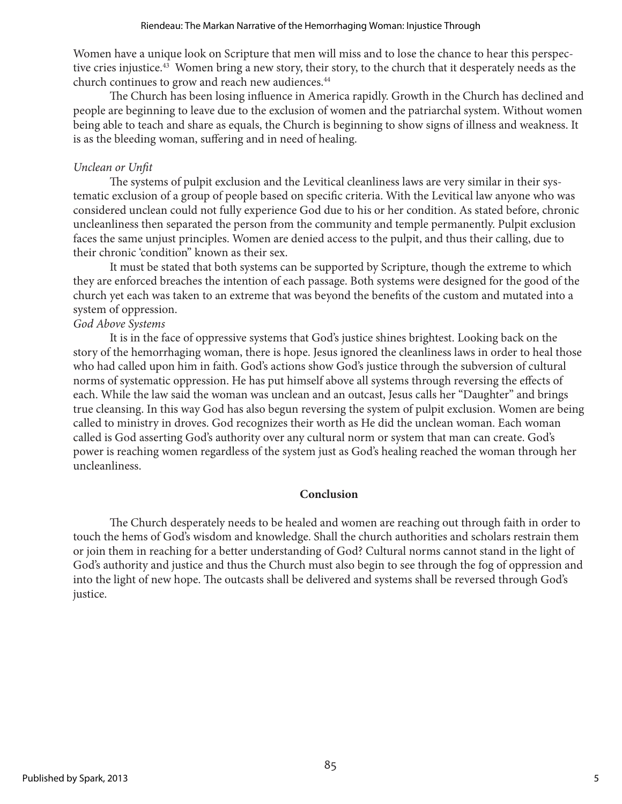Women have a unique look on Scripture that men will miss and to lose the chance to hear this perspective cries injustice.<sup>43</sup> Women bring a new story, their story, to the church that it desperately needs as the church continues to grow and reach new audiences.<sup>44</sup>

The Church has been losing influence in America rapidly. Growth in the Church has declined and people are beginning to leave due to the exclusion of women and the patriarchal system. Without women being able to teach and share as equals, the Church is beginning to show signs of illness and weakness. It is as the bleeding woman, suffering and in need of healing.

## *Unclean or Unfit*

The systems of pulpit exclusion and the Levitical cleanliness laws are very similar in their systematic exclusion of a group of people based on specific criteria. With the Levitical law anyone who was considered unclean could not fully experience God due to his or her condition. As stated before, chronic uncleanliness then separated the person from the community and temple permanently. Pulpit exclusion faces the same unjust principles. Women are denied access to the pulpit, and thus their calling, due to their chronic 'condition" known as their sex.

It must be stated that both systems can be supported by Scripture, though the extreme to which they are enforced breaches the intention of each passage. Both systems were designed for the good of the church yet each was taken to an extreme that was beyond the benefits of the custom and mutated into a system of oppression.

## *God Above Systems*

It is in the face of oppressive systems that God's justice shines brightest. Looking back on the story of the hemorrhaging woman, there is hope. Jesus ignored the cleanliness laws in order to heal those who had called upon him in faith. God's actions show God's justice through the subversion of cultural norms of systematic oppression. He has put himself above all systems through reversing the effects of each. While the law said the woman was unclean and an outcast, Jesus calls her "Daughter" and brings true cleansing. In this way God has also begun reversing the system of pulpit exclusion. Women are being called to ministry in droves. God recognizes their worth as He did the unclean woman. Each woman called is God asserting God's authority over any cultural norm or system that man can create. God's power is reaching women regardless of the system just as God's healing reached the woman through her uncleanliness.

## **Conclusion**

The Church desperately needs to be healed and women are reaching out through faith in order to touch the hems of God's wisdom and knowledge. Shall the church authorities and scholars restrain them or join them in reaching for a better understanding of God? Cultural norms cannot stand in the light of God's authority and justice and thus the Church must also begin to see through the fog of oppression and into the light of new hope. The outcasts shall be delivered and systems shall be reversed through God's justice.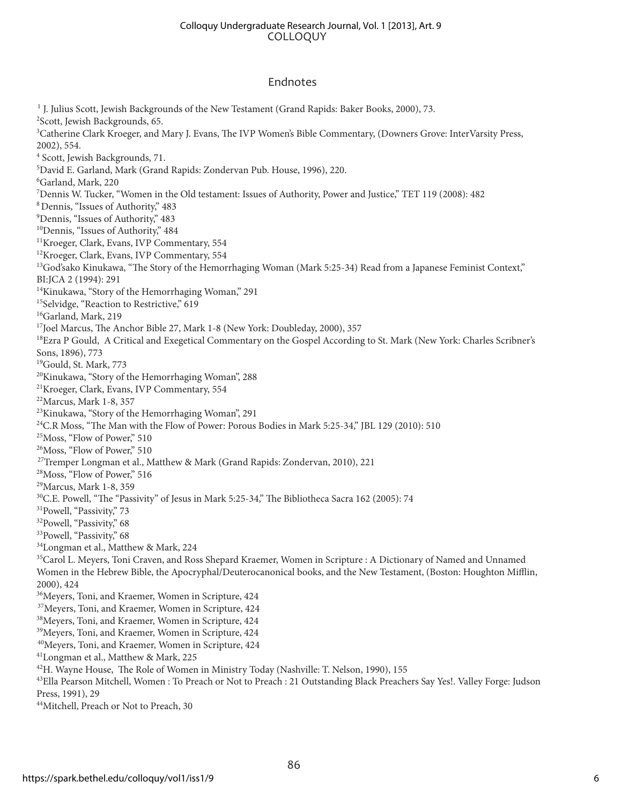#### COLLOQUY Colloquy Undergraduate Research Journal, Vol. 1 [2013], Art. 9

#### Endnotes

<sup>1</sup> J. Julius Scott, Jewish Backgrounds of the New Testament (Grand Rapids: Baker Books, 2000), 73. 2 Scott, Jewish Backgrounds, 65. <sup>3</sup>Catherine Clark Kroeger, and Mary J. Evans, The IVP Women's Bible Commentary, (Downers Grove: InterVarsity Press, 2002), 554. 4 Scott, Jewish Backgrounds, 71. 5 David E. Garland, Mark (Grand Rapids: Zondervan Pub. House, 1996), 220. 6 Garland, Mark, 220 7 Dennis W. Tucker, "Women in the Old testament: Issues of Authority, Power and Justice," TET 119 (2008): 482 8Dennis, "Issues of Authority," 483 9 Dennis, "Issues of Authority," 483 <sup>10</sup>Dennis, "Issues of Authority," 484 <sup>11</sup>Kroeger, Clark, Evans, IVP Commentary, 554 <sup>12</sup>Kroeger, Clark, Evans, IVP Commentary, 554 <sup>13</sup>God'sako Kinukawa, "The Story of the Hemorrhaging Woman (Mark 5:25-34) Read from a Japanese Feminist Context," BI:JCA 2 (1994): 291 <sup>14</sup>Kinukawa, "Story of the Hemorrhaging Woman," 291 <sup>15</sup>Selvidge, "Reaction to Restrictive," 619 <sup>16</sup>Garland, Mark, 219 <sup>17</sup>Joel Marcus, The Anchor Bible 27, Mark 1-8 (New York: Doubleday, 2000), 357 <sup>18</sup>Ezra P Gould, A Critical and Exegetical Commentary on the Gospel According to St. Mark (New York: Charles Scribner's Sons, 1896), 773 19Gould, St. Mark, 773 20Kinukawa, "Story of the Hemorrhaging Woman", 288 21Kroeger, Clark, Evans, IVP Commentary, 554 22Marcus, Mark 1-8, 357 <sup>23</sup>Kinukawa, "Story of the Hemorrhaging Woman", 291 <sup>24</sup>C.R Moss, "The Man with the Flow of Power: Porous Bodies in Mark 5:25-34," JBL 129 (2010): 510 25Moss, "Flow of Power," 510 26Moss, "Flow of Power," 510 <sup>27</sup>Tremper Longman et al., Matthew & Mark (Grand Rapids: Zondervan, 2010), 221 28Moss, "Flow of Power," 516 29Marcus, Mark 1-8, 359 <sup>30</sup>C.E. Powell, "The "Passivity" of Jesus in Mark 5:25-34," The Bibliotheca Sacra 162 (2005): 74 31Powell, "Passivity," 73 32Powell, "Passivity," 68 33Powell, "Passivity," 68 34Longman et al., Matthew & Mark, 224 <sup>35</sup>Carol L. Meyers, Toni Craven, and Ross Shepard Kraemer, Women in Scripture : A Dictionary of Named and Unnamed Women in the Hebrew Bible, the Apocryphal/Deuterocanonical books, and the New Testament, (Boston: Houghton Mifflin, 2000), 424 36Meyers, Toni, and Kraemer, Women in Scripture, 424 <sup>37</sup>Meyers, Toni, and Kraemer, Women in Scripture, 424 38Meyers, Toni, and Kraemer, Women in Scripture, 424 39Meyers, Toni, and Kraemer, Women in Scripture, 424 40Meyers, Toni, and Kraemer, Women in Scripture, 424 41Longman et al., Matthew & Mark, 225 <sup>42</sup>H. Wayne House, The Role of Women in Ministry Today (Nashville: T. Nelson, 1990), 155 <sup>43</sup>Ella Pearson Mitchell, Women : To Preach or Not to Preach : 21 Outstanding Black Preachers Say Yes!. Valley Forge: Judson Press, 1991), 29

44Mitchell, Preach or Not to Preach, 30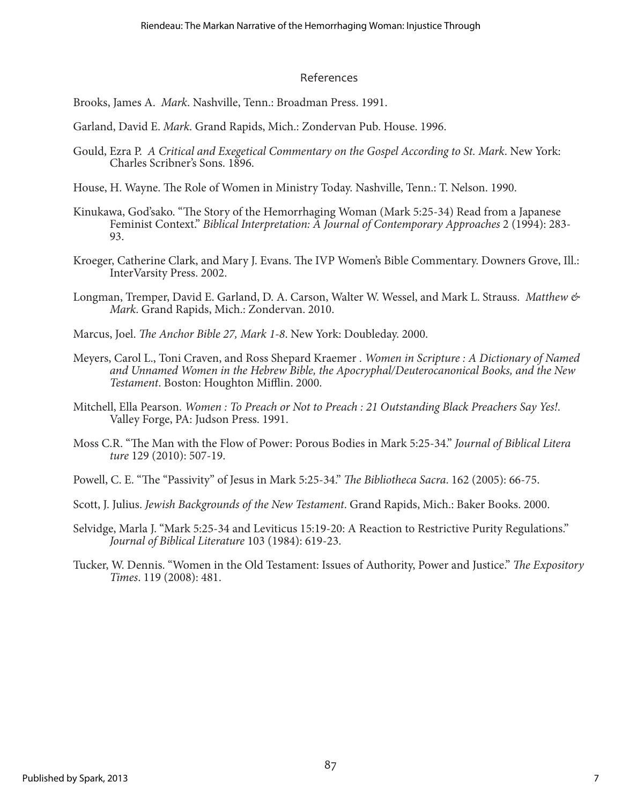#### References

Brooks, James A. *Mark*. Nashville, Tenn.: Broadman Press. 1991.

Garland, David E. *Mark*. Grand Rapids, Mich.: Zondervan Pub. House. 1996.

- Gould, Ezra P. *A Critical and Exegetical Commentary on the Gospel According to St. Mark*. New York: Charles Scribner's Sons. 1896.
- House, H. Wayne. The Role of Women in Ministry Today. Nashville, Tenn.: T. Nelson. 1990.
- Kinukawa, God'sako. "The Story of the Hemorrhaging Woman (Mark 5:25-34) Read from a Japanese Feminist Context." *Biblical Interpretation: A Journal of Contemporary Approaches* 2 (1994): 283- 93.
- Kroeger, Catherine Clark, and Mary J. Evans. The IVP Women's Bible Commentary. Downers Grove, Ill.: InterVarsity Press. 2002.
- Longman, Tremper, David E. Garland, D. A. Carson, Walter W. Wessel, and Mark L. Strauss. *Matthew & Mark*. Grand Rapids, Mich.: Zondervan. 2010.
- Marcus, Joel. *The Anchor Bible 27, Mark 1-8*. New York: Doubleday. 2000.
- Meyers, Carol L., Toni Craven, and Ross Shepard Kraemer . *Women in Scripture : A Dictionary of Named and Unnamed Women in the Hebrew Bible, the Apocryphal/Deuterocanonical Books, and the New Testament*. Boston: Houghton Mifflin. 2000.
- Mitchell, Ella Pearson. *Women : To Preach or Not to Preach : 21 Outstanding Black Preachers Say Yes!*. Valley Forge, PA: Judson Press. 1991.
- Moss C.R. "The Man with the Flow of Power: Porous Bodies in Mark 5:25-34." *Journal of Biblical Litera ture* 129 (2010): 507-19.
- Powell, C. E. "The "Passivity" of Jesus in Mark 5:25-34." *The Bibliotheca Sacra*. 162 (2005): 66-75.
- Scott, J. Julius. *Jewish Backgrounds of the New Testament*. Grand Rapids, Mich.: Baker Books. 2000.
- Selvidge, Marla J. "Mark 5:25-34 and Leviticus 15:19-20: A Reaction to Restrictive Purity Regulations." *Journal of Biblical Literature* 103 (1984): 619-23.
- Tucker, W. Dennis. "Women in the Old Testament: Issues of Authority, Power and Justice." *The Expository Times*. 119 (2008): 481.